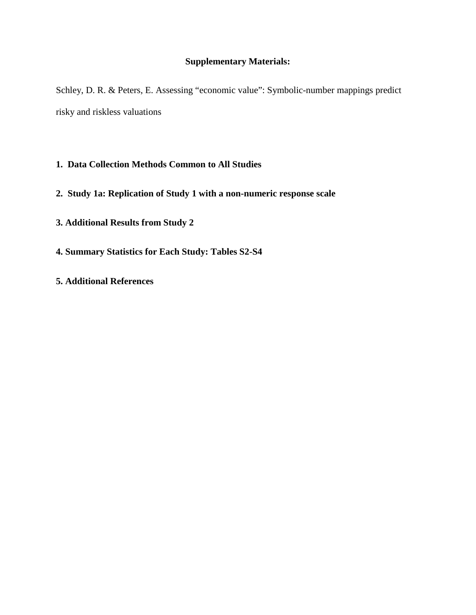# **Supplementary Materials:**

Schley, D. R. & Peters, E. Assessing "economic value": Symbolic-number mappings predict risky and riskless valuations

- **1. Data Collection Methods Common to All Studies**
- **2. Study 1a: Replication of Study 1 with a non-numeric response scale**
- **3. Additional Results from Study 2**
- **4. Summary Statistics for Each Study: Tables S2-S4**
- **5. Additional References**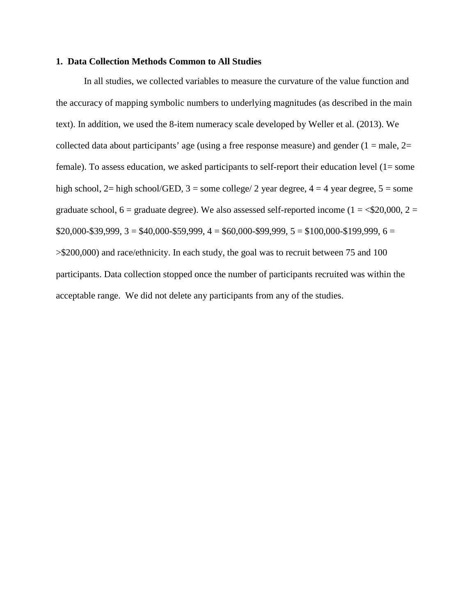#### **1. Data Collection Methods Common to All Studies**

In all studies, we collected variables to measure the curvature of the value function and the accuracy of mapping symbolic numbers to underlying magnitudes (as described in the main text). In addition, we used the 8-item numeracy scale developed by Weller et al. (2013). We collected data about participants' age (using a free response measure) and gender  $(1 = male, 2 =$ female). To assess education, we asked participants to self-report their education level (1= some high school, 2= high school/GED,  $3 =$  some college/ 2 year degree,  $4 = 4$  year degree,  $5 =$  some graduate school,  $6 =$  graduate degree). We also assessed self-reported income ( $1 =$  <\$20,000,  $2 =$  $$20,000-$39,999, 3 = $40,000-$59,999, 4 = $60,000-$99,999, 5 = $100,000-$199,999, 6 =$ >\$200,000) and race/ethnicity. In each study, the goal was to recruit between 75 and 100 participants. Data collection stopped once the number of participants recruited was within the acceptable range. We did not delete any participants from any of the studies.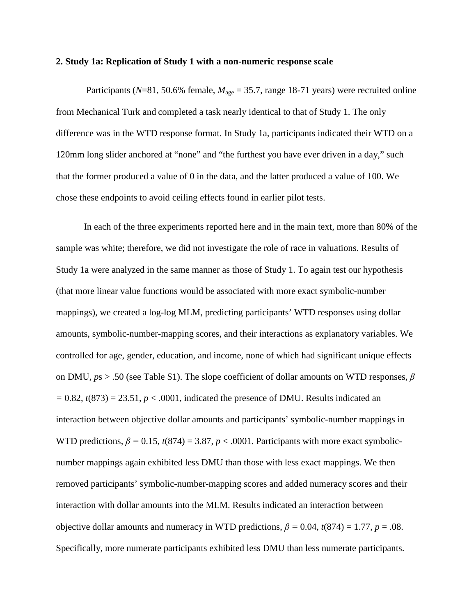#### **2. Study 1a: Replication of Study 1 with a non-numeric response scale**

Participants ( $N=81$ , 50.6% female,  $M_{\text{age}} = 35.7$ , range 18-71 years) were recruited online from Mechanical Turk and completed a task nearly identical to that of Study 1. The only difference was in the WTD response format. In Study 1a, participants indicated their WTD on a 120mm long slider anchored at "none" and "the furthest you have ever driven in a day," such that the former produced a value of 0 in the data, and the latter produced a value of 100. We chose these endpoints to avoid ceiling effects found in earlier pilot tests.

In each of the three experiments reported here and in the main text, more than 80% of the sample was white; therefore, we did not investigate the role of race in valuations. Results of Study 1a were analyzed in the same manner as those of Study 1. To again test our hypothesis (that more linear value functions would be associated with more exact symbolic-number mappings), we created a log-log MLM, predicting participants' WTD responses using dollar amounts, symbolic-number-mapping scores, and their interactions as explanatory variables. We controlled for age, gender, education, and income, none of which had significant unique effects on DMU, *p*s > .50 (see Table S1). The slope coefficient of dollar amounts on WTD responses, *β*   $= 0.82$ ,  $t(873) = 23.51$ ,  $p < .0001$ , indicated the presence of DMU. Results indicated an interaction between objective dollar amounts and participants' symbolic-number mappings in WTD predictions,  $\beta = 0.15$ ,  $t(874) = 3.87$ ,  $p < .0001$ . Participants with more exact symbolicnumber mappings again exhibited less DMU than those with less exact mappings. We then removed participants' symbolic-number-mapping scores and added numeracy scores and their interaction with dollar amounts into the MLM. Results indicated an interaction between objective dollar amounts and numeracy in WTD predictions,  $\beta = 0.04$ ,  $t(874) = 1.77$ ,  $p = .08$ . Specifically, more numerate participants exhibited less DMU than less numerate participants.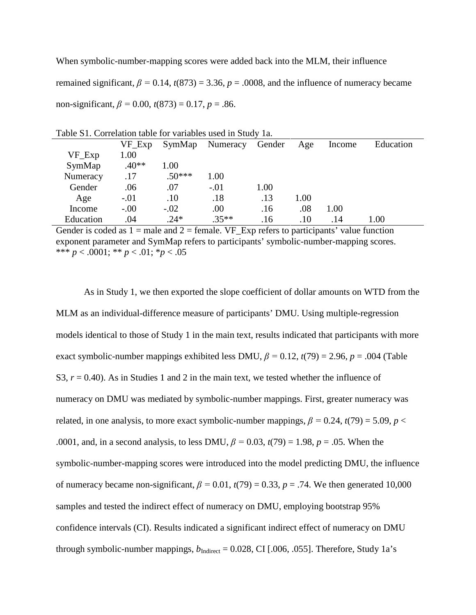When symbolic-number-mapping scores were added back into the MLM, their influence remained significant,  $\beta = 0.14$ ,  $t(873) = 3.36$ ,  $p = .0008$ , and the influence of numeracy became non-significant,  $\beta = 0.00$ ,  $t(873) = 0.17$ ,  $p = .86$ .

| Table ST. Conciation table for variables used in Study Ta. |           |          |          |        |      |        |           |  |
|------------------------------------------------------------|-----------|----------|----------|--------|------|--------|-----------|--|
|                                                            | $VF\_Exp$ | SymMap   | Numeracy | Gender | Age  | Income | Education |  |
| VF_Exp                                                     | 1.00      |          |          |        |      |        |           |  |
| SymMap                                                     | $.40**$   | 1.00     |          |        |      |        |           |  |
| Numeracy                                                   | .17       | $.50***$ | 1.00     |        |      |        |           |  |
| Gender                                                     | .06       | .07      | $-.01$   | 1.00   |      |        |           |  |
| Age                                                        | $-.01$    | .10      | .18      | .13    | 1.00 |        |           |  |
| Income                                                     | $-.00$    | $-.02$   | .00      | .16    | .08  | 1.00   |           |  |
| Education                                                  | .04       | $.24*$   | $.35**$  | .16    | .10  | .14    | 1.00      |  |
|                                                            |           |          |          |        |      |        |           |  |

|  |  | Table S1. Correlation table for variables used in Study 1a. |  |
|--|--|-------------------------------------------------------------|--|
|  |  |                                                             |  |

Gender is coded as  $1 =$  male and  $2 =$  female. VF\_Exp refers to participants' value function exponent parameter and SymMap refers to participants' symbolic-number-mapping scores. \*\*\* *p* < .0001; \*\* *p* < .01; \**p* < .05

As in Study 1, we then exported the slope coefficient of dollar amounts on WTD from the MLM as an individual-difference measure of participants' DMU. Using multiple-regression models identical to those of Study 1 in the main text, results indicated that participants with more exact symbolic-number mappings exhibited less DMU,  $\beta = 0.12$ ,  $t(79) = 2.96$ ,  $p = .004$  (Table S3,  $r = 0.40$ ). As in Studies 1 and 2 in the main text, we tested whether the influence of numeracy on DMU was mediated by symbolic-number mappings. First, greater numeracy was related, in one analysis, to more exact symbolic-number mappings,  $\beta = 0.24$ ,  $t(79) = 5.09$ ,  $p <$ .0001, and, in a second analysis, to less DMU,  $\beta = 0.03$ ,  $t(79) = 1.98$ ,  $p = .05$ . When the symbolic-number-mapping scores were introduced into the model predicting DMU, the influence of numeracy became non-significant,  $\beta = 0.01$ ,  $t(79) = 0.33$ ,  $p = .74$ . We then generated 10,000 samples and tested the indirect effect of numeracy on DMU, employing bootstrap 95% confidence intervals (CI). Results indicated a significant indirect effect of numeracy on DMU through symbolic-number mappings,  $b_{\text{Indirect}} = 0.028$ , CI [.006, .055]. Therefore, Study 1a's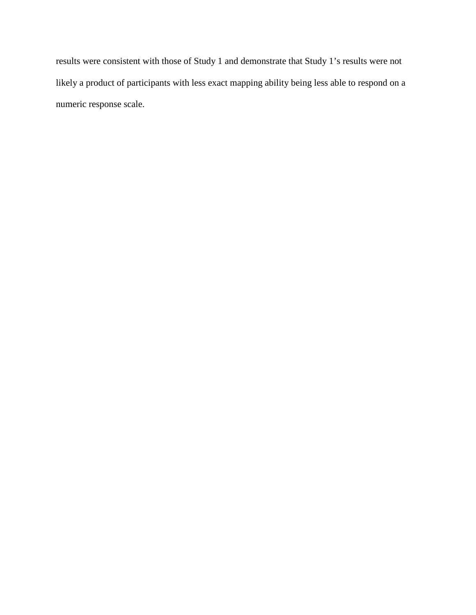results were consistent with those of Study 1 and demonstrate that Study 1's results were not likely a product of participants with less exact mapping ability being less able to respond on a numeric response scale.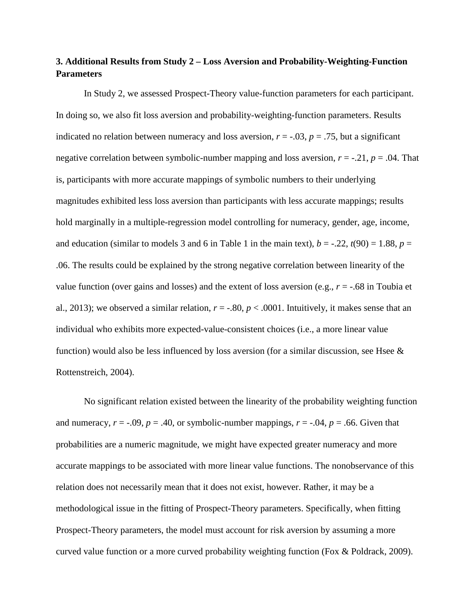## **3. Additional Results from Study 2 – Loss Aversion and Probability-Weighting-Function Parameters**

In Study 2, we assessed Prospect-Theory value-function parameters for each participant. In doing so, we also fit loss aversion and probability-weighting-function parameters. Results indicated no relation between numeracy and loss aversion,  $r = -0.03$ ,  $p = 0.75$ , but a significant negative correlation between symbolic-number mapping and loss aversion, *r* = -.21, *p* = .04. That is, participants with more accurate mappings of symbolic numbers to their underlying magnitudes exhibited less loss aversion than participants with less accurate mappings; results hold marginally in a multiple-regression model controlling for numeracy, gender, age, income, and education (similar to models 3 and 6 in Table 1 in the main text),  $b = -0.22$ ,  $t(90) = 1.88$ ,  $p =$ .06. The results could be explained by the strong negative correlation between linearity of the value function (over gains and losses) and the extent of loss aversion (e.g.,  $r = -.68$  in Toubia et al., 2013); we observed a similar relation,  $r = -.80$ ,  $p < .0001$ . Intuitively, it makes sense that an individual who exhibits more expected-value-consistent choices (i.e., a more linear value function) would also be less influenced by loss aversion (for a similar discussion, see Hsee  $\&$ Rottenstreich, 2004).

No significant relation existed between the linearity of the probability weighting function and numeracy,  $r = -.09$ ,  $p = .40$ , or symbolic-number mappings,  $r = -.04$ ,  $p = .66$ . Given that probabilities are a numeric magnitude, we might have expected greater numeracy and more accurate mappings to be associated with more linear value functions. The nonobservance of this relation does not necessarily mean that it does not exist, however. Rather, it may be a methodological issue in the fitting of Prospect-Theory parameters. Specifically, when fitting Prospect-Theory parameters, the model must account for risk aversion by assuming a more curved value function or a more curved probability weighting function (Fox & Poldrack, 2009).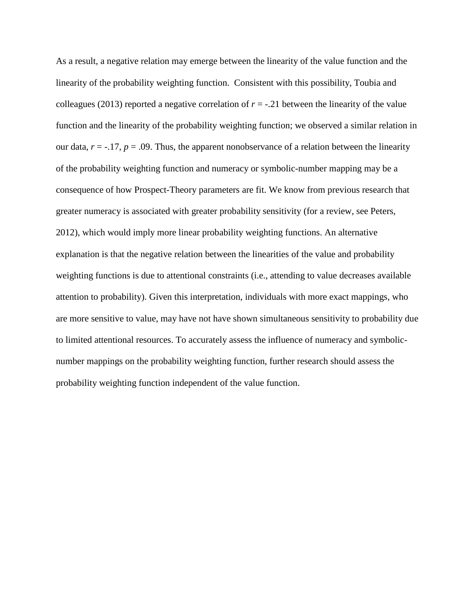As a result, a negative relation may emerge between the linearity of the value function and the linearity of the probability weighting function. Consistent with this possibility, Toubia and colleagues (2013) reported a negative correlation of  $r = -0.21$  between the linearity of the value function and the linearity of the probability weighting function; we observed a similar relation in our data,  $r = -17$ ,  $p = .09$ . Thus, the apparent nonobservance of a relation between the linearity of the probability weighting function and numeracy or symbolic-number mapping may be a consequence of how Prospect-Theory parameters are fit. We know from previous research that greater numeracy is associated with greater probability sensitivity (for a review, see Peters, 2012), which would imply more linear probability weighting functions. An alternative explanation is that the negative relation between the linearities of the value and probability weighting functions is due to attentional constraints (i.e., attending to value decreases available attention to probability). Given this interpretation, individuals with more exact mappings, who are more sensitive to value, may have not have shown simultaneous sensitivity to probability due to limited attentional resources. To accurately assess the influence of numeracy and symbolicnumber mappings on the probability weighting function, further research should assess the probability weighting function independent of the value function.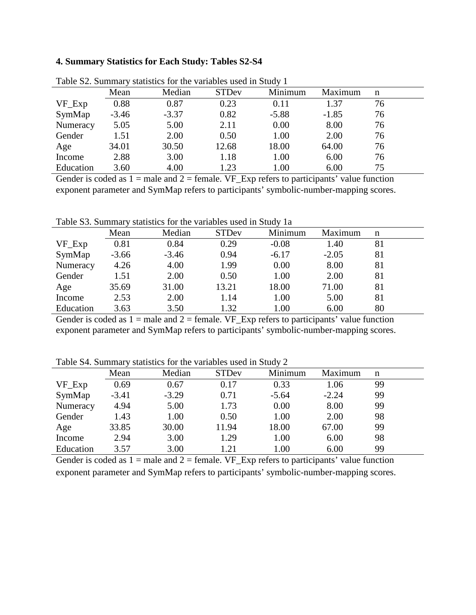### **4. Summary Statistics for Each Study: Tables S2-S4**

| Table 52. Building y statistics for the variables ased in Bludy T |         |         |              |         |         |    |  |  |
|-------------------------------------------------------------------|---------|---------|--------------|---------|---------|----|--|--|
|                                                                   | Mean    | Median  | <b>STDev</b> | Minimum | Maximum | n  |  |  |
| $VF\_Exp$                                                         | 0.88    | 0.87    | 0.23         | 0.11    | 1.37    | 76 |  |  |
| SymMap                                                            | $-3.46$ | $-3.37$ | 0.82         | $-5.88$ | $-1.85$ | 76 |  |  |
| Numeracy                                                          | 5.05    | 5.00    | 2.11         | 0.00    | 8.00    | 76 |  |  |
| Gender                                                            | 1.51    | 2.00    | 0.50         | 1.00    | 2.00    | 76 |  |  |
| Age                                                               | 34.01   | 30.50   | 12.68        | 18.00   | 64.00   | 76 |  |  |
| Income                                                            | 2.88    | 3.00    | 1.18         | 1.00    | 6.00    | 76 |  |  |
| Education                                                         | 3.60    | 4.00    | 1.23         | 1.00    | 6.00    | 75 |  |  |

Table S2. Summary statistics for the variables used in Study 1

Gender is coded as  $1 =$  male and  $2 =$  female. VF\_Exp refers to participants' value function exponent parameter and SymMap refers to participants' symbolic-number-mapping scores.

Table S3. Summary statistics for the variables used in Study 1a

|           | Mean    | Median  | <b>STDev</b> | Minimum | Maximum | n  |  |
|-----------|---------|---------|--------------|---------|---------|----|--|
| $VF\_Exp$ | 0.81    | 0.84    | 0.29         | $-0.08$ | 1.40    | 81 |  |
| SymMap    | $-3.66$ | $-3.46$ | 0.94         | $-6.17$ | $-2.05$ | 81 |  |
| Numeracy  | 4.26    | 4.00    | 1.99         | 0.00    | 8.00    | 81 |  |
| Gender    | 1.51    | 2.00    | 0.50         | 1.00    | 2.00    | 81 |  |
| Age       | 35.69   | 31.00   | 13.21        | 18.00   | 71.00   | 81 |  |
| Income    | 2.53    | 2.00    | 1.14         | 1.00    | 5.00    | 81 |  |
| Education | 3.63    | 3.50    | 1.32         | 1.00    | 6.00    | 80 |  |

Gender is coded as  $1 =$  male and  $2 =$  female. VF\_Exp refers to participants' value function exponent parameter and SymMap refers to participants' symbolic-number-mapping scores.

Table S4. Summary statistics for the variables used in Study 2

|            | Mean    | Median  | <b>STDev</b> | Minimum | Maximum | n  |  |
|------------|---------|---------|--------------|---------|---------|----|--|
| $VF$ $Exp$ | 0.69    | 0.67    | 0.17         | 0.33    | 1.06    | 99 |  |
| SymMap     | $-3.41$ | $-3.29$ | 0.71         | $-5.64$ | $-2.24$ | 99 |  |
| Numeracy   | 4.94    | 5.00    | 1.73         | 0.00    | 8.00    | 99 |  |
| Gender     | 1.43    | 1.00    | 0.50         | 1.00    | 2.00    | 98 |  |
| Age        | 33.85   | 30.00   | 11.94        | 18.00   | 67.00   | 99 |  |
| Income     | 2.94    | 3.00    | 1.29         | 1.00    | 6.00    | 98 |  |
| Education  | 3.57    | 3.00    | 1.21         | 1.00    | 6.00    | 99 |  |

Gender is coded as  $1 =$  male and  $2 =$  female. VF\_Exp refers to participants' value function exponent parameter and SymMap refers to participants' symbolic-number-mapping scores.